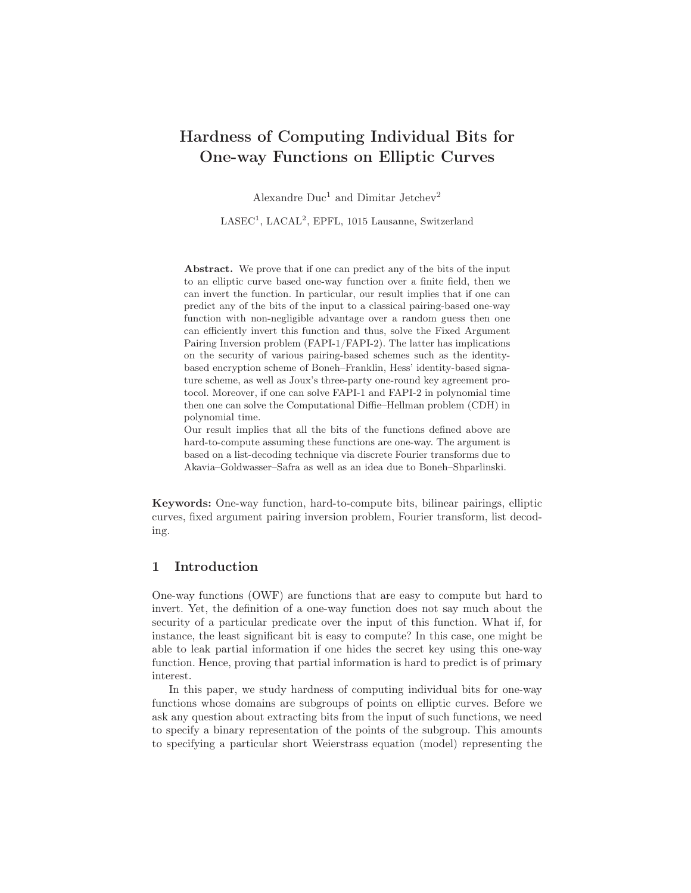# Hardness of Computing Individual Bits for One-way Functions on Elliptic Curves

Alexandre Duc<sup>1</sup> and Dimitar Jetchev<sup>2</sup>

LASEC<sup>1</sup>, LACAL<sup>2</sup>, EPFL, 1015 Lausanne, Switzerland

Abstract. We prove that if one can predict any of the bits of the input to an elliptic curve based one-way function over a finite field, then we can invert the function. In particular, our result implies that if one can predict any of the bits of the input to a classical pairing-based one-way function with non-negligible advantage over a random guess then one can efficiently invert this function and thus, solve the Fixed Argument Pairing Inversion problem (FAPI-1/FAPI-2). The latter has implications on the security of various pairing-based schemes such as the identitybased encryption scheme of Boneh–Franklin, Hess' identity-based signature scheme, as well as Joux's three-party one-round key agreement protocol. Moreover, if one can solve FAPI-1 and FAPI-2 in polynomial time then one can solve the Computational Diffie–Hellman problem (CDH) in polynomial time.

Our result implies that all the bits of the functions defined above are hard-to-compute assuming these functions are one-way. The argument is based on a list-decoding technique via discrete Fourier transforms due to Akavia–Goldwasser–Safra as well as an idea due to Boneh–Shparlinski.

Keywords: One-way function, hard-to-compute bits, bilinear pairings, elliptic curves, fixed argument pairing inversion problem, Fourier transform, list decoding.

# 1 Introduction

One-way functions (OWF) are functions that are easy to compute but hard to invert. Yet, the definition of a one-way function does not say much about the security of a particular predicate over the input of this function. What if, for instance, the least significant bit is easy to compute? In this case, one might be able to leak partial information if one hides the secret key using this one-way function. Hence, proving that partial information is hard to predict is of primary interest.

In this paper, we study hardness of computing individual bits for one-way functions whose domains are subgroups of points on elliptic curves. Before we ask any question about extracting bits from the input of such functions, we need to specify a binary representation of the points of the subgroup. This amounts to specifying a particular short Weierstrass equation (model) representing the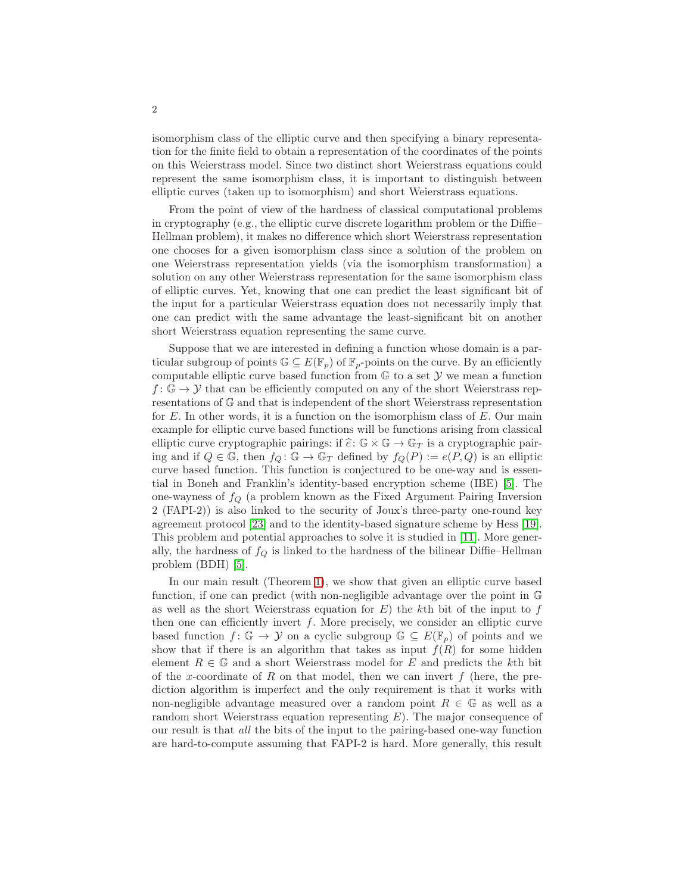isomorphism class of the elliptic curve and then specifying a binary representation for the finite field to obtain a representation of the coordinates of the points on this Weierstrass model. Since two distinct short Weierstrass equations could represent the same isomorphism class, it is important to distinguish between elliptic curves (taken up to isomorphism) and short Weierstrass equations.

From the point of view of the hardness of classical computational problems in cryptography (e.g., the elliptic curve discrete logarithm problem or the Diffie– Hellman problem), it makes no difference which short Weierstrass representation one chooses for a given isomorphism class since a solution of the problem on one Weierstrass representation yields (via the isomorphism transformation) a solution on any other Weierstrass representation for the same isomorphism class of elliptic curves. Yet, knowing that one can predict the least significant bit of the input for a particular Weierstrass equation does not necessarily imply that one can predict with the same advantage the least-significant bit on another short Weierstrass equation representing the same curve.

Suppose that we are interested in defining a function whose domain is a particular subgroup of points  $\mathbb{G} \subseteq E(\mathbb{F}_p)$  of  $\mathbb{F}_p$ -points on the curve. By an efficiently computable elliptic curve based function from  $\mathbb{G}$  to a set  $\mathcal Y$  we mean a function  $f: \mathbb{G} \to \mathcal{Y}$  that can be efficiently computed on any of the short Weierstrass representations of G and that is independent of the short Weierstrass representation for  $E$ . In other words, it is a function on the isomorphism class of  $E$ . Our main example for elliptic curve based functions will be functions arising from classical elliptic curve cryptographic pairings: if  $\hat{e}: \mathbb{G} \times \mathbb{G} \to \mathbb{G}_T$  is a cryptographic pairing and if  $Q \in \mathbb{G}$ , then  $f_Q : \mathbb{G} \to \mathbb{G}_T$  defined by  $f_Q(P) := e(P, Q)$  is an elliptic curve based function. This function is conjectured to be one-way and is essential in Boneh and Franklin's identity-based encryption scheme (IBE) [\[5\]](#page-16-0). The one-wayness of  $f_Q$  (a problem known as the Fixed Argument Pairing Inversion 2 (FAPI-2)) is also linked to the security of Joux's three-party one-round key agreement protocol [\[23\]](#page-17-0) and to the identity-based signature scheme by Hess [\[19\]](#page-16-1). This problem and potential approaches to solve it is studied in [\[11\]](#page-16-2). More generally, the hardness of  $f_Q$  is linked to the hardness of the bilinear Diffie–Hellman problem (BDH) [\[5\]](#page-16-0).

In our main result (Theorem [1\)](#page-6-0), we show that given an elliptic curve based function, if one can predict (with non-negligible advantage over the point in G as well as the short Weierstrass equation for  $E$ ) the kth bit of the input to f then one can efficiently invert  $f$ . More precisely, we consider an elliptic curve based function  $f: \mathbb{G} \to \mathcal{Y}$  on a cyclic subgroup  $\mathbb{G} \subseteq E(\mathbb{F}_n)$  of points and we show that if there is an algorithm that takes as input  $f(R)$  for some hidden element  $R \in \mathbb{G}$  and a short Weierstrass model for E and predicts the kth bit of the x-coordinate of R on that model, then we can invert  $f$  (here, the prediction algorithm is imperfect and the only requirement is that it works with non-negligible advantage measured over a random point  $R \in \mathbb{G}$  as well as a random short Weierstrass equation representing  $E$ ). The major consequence of our result is that all the bits of the input to the pairing-based one-way function are hard-to-compute assuming that FAPI-2 is hard. More generally, this result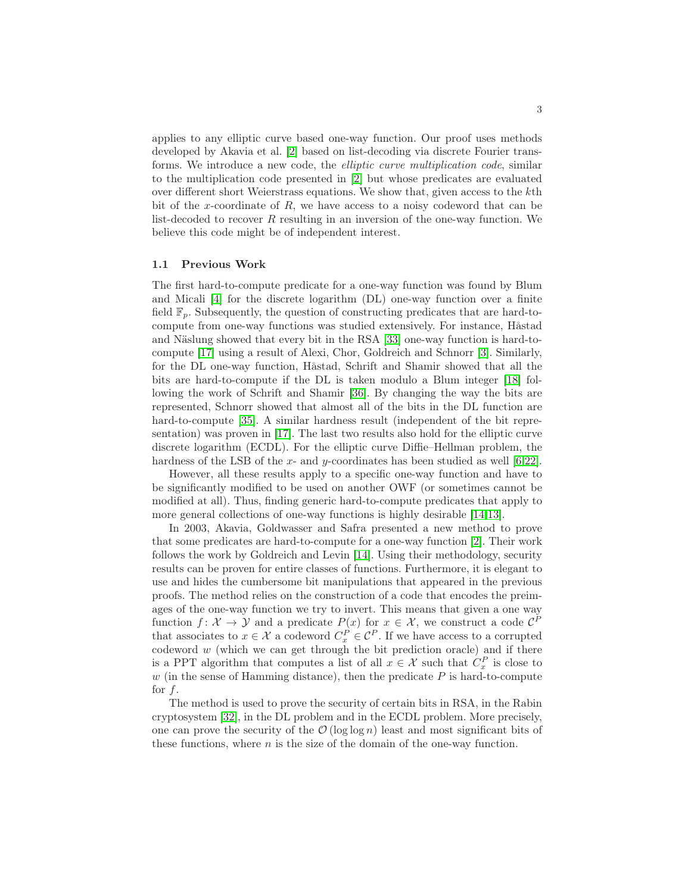applies to any elliptic curve based one-way function. Our proof uses methods developed by Akavia et al. [\[2\]](#page-16-3) based on list-decoding via discrete Fourier transforms. We introduce a new code, the elliptic curve multiplication code, similar to the multiplication code presented in [\[2\]](#page-16-3) but whose predicates are evaluated over different short Weierstrass equations. We show that, given access to the kth bit of the x-coordinate of  $R$ , we have access to a noisy codeword that can be list-decoded to recover R resulting in an inversion of the one-way function. We believe this code might be of independent interest.

#### 1.1 Previous Work

The first hard-to-compute predicate for a one-way function was found by Blum and Micali [\[4\]](#page-16-4) for the discrete logarithm (DL) one-way function over a finite field  $\mathbb{F}_p$ . Subsequently, the question of constructing predicates that are hard-tocompute from one-way functions was studied extensively. For instance, Håstad and Näslung showed that every bit in the RSA [\[33\]](#page-17-1) one-way function is hard-tocompute [\[17\]](#page-16-5) using a result of Alexi, Chor, Goldreich and Schnorr [\[3\]](#page-16-6). Similarly, for the DL one-way function, Håstad, Schrift and Shamir showed that all the bits are hard-to-compute if the DL is taken modulo a Blum integer [\[18\]](#page-16-7) following the work of Schrift and Shamir [\[36\]](#page-17-2). By changing the way the bits are represented, Schnorr showed that almost all of the bits in the DL function are hard-to-compute [\[35\]](#page-17-3). A similar hardness result (independent of the bit representation) was proven in [\[17\]](#page-16-5). The last two results also hold for the elliptic curve discrete logarithm (ECDL). For the elliptic curve Diffie–Hellman problem, the hardness of the LSB of the x- and y-coordinates has been studied as well  $[6,22]$  $[6,22]$ .

However, all these results apply to a specific one-way function and have to be significantly modified to be used on another OWF (or sometimes cannot be modified at all). Thus, finding generic hard-to-compute predicates that apply to more general collections of one-way functions is highly desirable [\[14](#page-16-9)[,13\]](#page-16-10).

In 2003, Akavia, Goldwasser and Safra presented a new method to prove that some predicates are hard-to-compute for a one-way function [\[2\]](#page-16-3). Their work follows the work by Goldreich and Levin [\[14\]](#page-16-9). Using their methodology, security results can be proven for entire classes of functions. Furthermore, it is elegant to use and hides the cumbersome bit manipulations that appeared in the previous proofs. The method relies on the construction of a code that encodes the preimages of the one-way function we try to invert. This means that given a one way function  $f: \mathcal{X} \to \mathcal{Y}$  and a predicate  $P(x)$  for  $x \in \mathcal{X}$ , we construct a code  $\mathcal{C}^P$ that associates to  $x \in \mathcal{X}$  a codeword  $C_x^P \in \mathcal{C}^P$ . If we have access to a corrupted codeword  $w$  (which we can get through the bit prediction oracle) and if there is a PPT algorithm that computes a list of all  $x \in \mathcal{X}$  such that  $C_x^P$  is close to  $w$  (in the sense of Hamming distance), then the predicate  $P$  is hard-to-compute for f.

The method is used to prove the security of certain bits in RSA, in the Rabin cryptosystem [\[32\]](#page-17-5), in the DL problem and in the ECDL problem. More precisely, one can prove the security of the  $\mathcal{O}(\log \log n)$  least and most significant bits of these functions, where  $n$  is the size of the domain of the one-way function.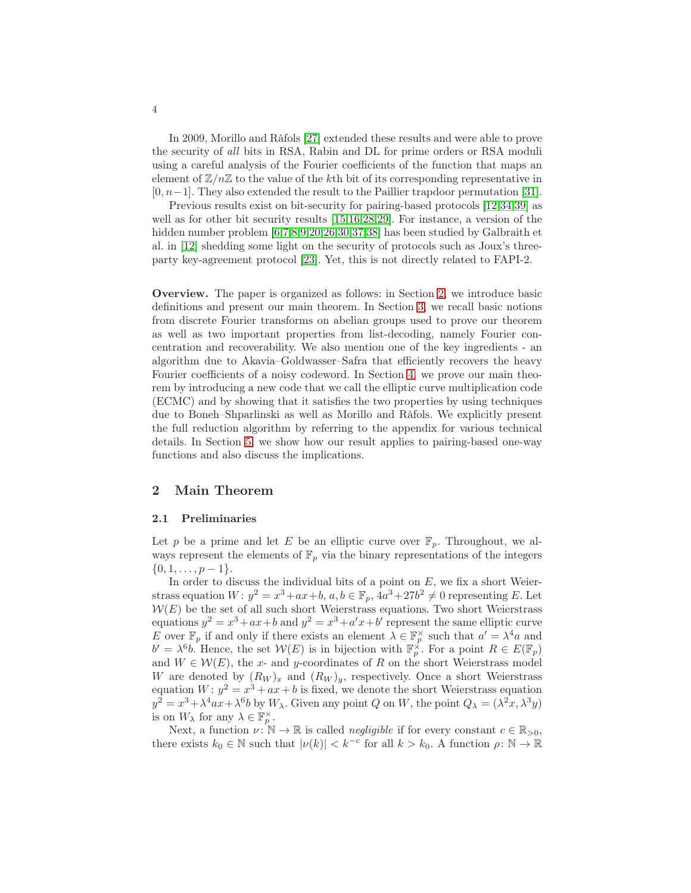In 2009, Morillo and Ràfols [\[27\]](#page-17-6) extended these results and were able to prove the security of all bits in RSA, Rabin and DL for prime orders or RSA moduli using a careful analysis of the Fourier coefficients of the function that maps an element of  $\mathbb{Z}/n\mathbb{Z}$  to the value of the kth bit of its corresponding representative in  $[0, n-1]$ . They also extended the result to the Paillier trapdoor permutation [\[31\]](#page-17-7).

Previous results exist on bit-security for pairing-based protocols [\[12](#page-16-11)[,34](#page-17-8)[,39\]](#page-17-9) as well as for other bit security results [\[15](#page-16-12)[,16,](#page-16-13)[28](#page-17-10)[,29\]](#page-17-11). For instance, a version of the hidden number problem  $[6,7,8,9,20,26,30,37,38]$  $[6,7,8,9,20,26,30,37,38]$  $[6,7,8,9,20,26,30,37,38]$  $[6,7,8,9,20,26,30,37,38]$  $[6,7,8,9,20,26,30,37,38]$  $[6,7,8,9,20,26,30,37,38]$  $[6,7,8,9,20,26,30,37,38]$  $[6,7,8,9,20,26,30,37,38]$  $[6,7,8,9,20,26,30,37,38]$  has been studied by Galbraith et al. in [\[12\]](#page-16-11) shedding some light on the security of protocols such as Joux's threeparty key-agreement protocol [\[23\]](#page-17-0). Yet, this is not directly related to FAPI-2.

Overview. The paper is organized as follows: in Section [2,](#page-3-0) we introduce basic definitions and present our main theorem. In Section [3,](#page-6-1) we recall basic notions from discrete Fourier transforms on abelian groups used to prove our theorem as well as two important properties from list-decoding, namely Fourier concentration and recoverability. We also mention one of the key ingredients - an algorithm due to Akavia–Goldwasser–Safra that efficiently recovers the heavy Fourier coefficients of a noisy codeword. In Section [4,](#page-8-0) we prove our main theorem by introducing a new code that we call the elliptic curve multiplication code (ECMC) and by showing that it satisfies the two properties by using techniques due to Boneh–Shparlinski as well as Morillo and Ràfols. We explicitly present the full reduction algorithm by referring to the appendix for various technical details. In Section [5,](#page-12-0) we show how our result applies to pairing-based one-way functions and also discuss the implications.

# <span id="page-3-0"></span>2 Main Theorem

## 2.1 Preliminaries

Let p be a prime and let E be an elliptic curve over  $\mathbb{F}_p$ . Throughout, we always represent the elements of  $\mathbb{F}_p$  via the binary representations of the integers  $\{0, 1, \ldots, p-1\}.$ 

In order to discuss the individual bits of a point on  $E$ , we fix a short Weierstrass equation  $W: y^2 = x^3 + ax + b, a, b \in \mathbb{F}_p$ ,  $4a^3 + 27b^2 \neq 0$  representing E. Let  $W(E)$  be the set of all such short Weierstrass equations. Two short Weierstrass equations  $y^2 = x^3 + ax + b$  and  $y^2 = x^3 + a'x + b'$  represent the same elliptic curve E over  $\mathbb{F}_p$  if and only if there exists an element  $\lambda \in \mathbb{F}_p^{\times}$  such that  $a' = \lambda^4 a$  and  $b' = \lambda^6 b$ . Hence, the set  $W(E)$  is in bijection with  $\mathbb{F}_p^{\times}$ . For a point  $R \in E(\mathbb{F}_p)$ and  $W \in \mathcal{W}(E)$ , the x- and y-coordinates of R on the short Weierstrass model W are denoted by  $(R_W)_x$  and  $(R_W)_y$ , respectively. Once a short Weierstrass equation  $W: y^2 = x^3 + ax + b$  is fixed, we denote the short Weierstrass equation  $y^2 = x^3 + \lambda^4 ax + \lambda^6 b$  by  $W_\lambda$ . Given any point Q on W, the point  $Q_\lambda = (\lambda^2 x, \lambda^3 y)$ is on  $W_{\lambda}$  for any  $\lambda \in \mathbb{F}_p^{\times}$ .

Next, a function  $\nu: \mathbb{N} \to \mathbb{R}$  is called *negligible* if for every constant  $c \in \mathbb{R}_{>0}$ , there exists  $k_0 \in \mathbb{N}$  such that  $|\nu(k)| < k^{-c}$  for all  $k > k_0$ . A function  $\rho \colon \mathbb{N} \to \mathbb{R}$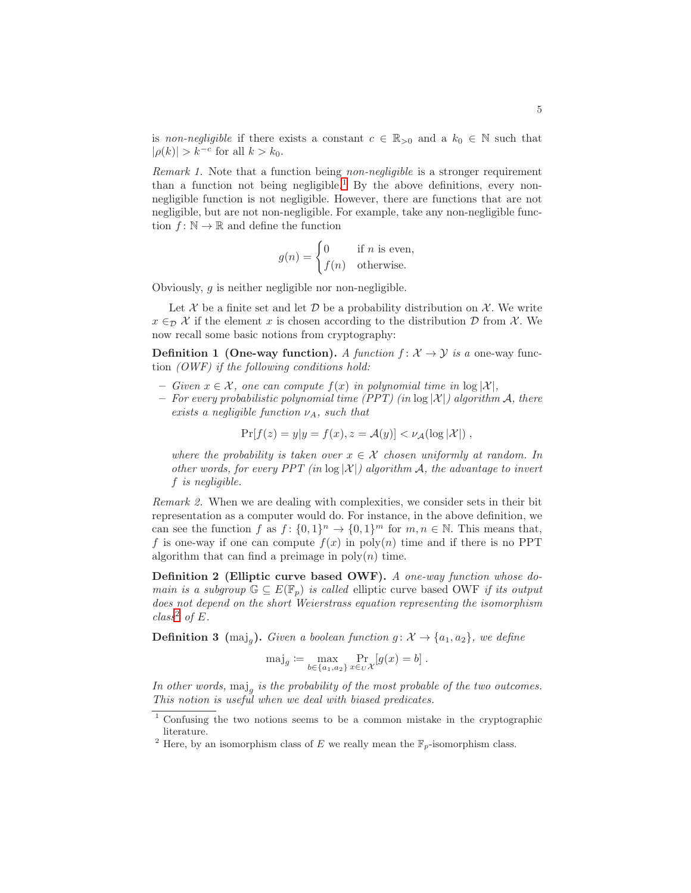is non-negligible if there exists a constant  $c \in \mathbb{R}_{>0}$  and a  $k_0 \in \mathbb{N}$  such that  $|\rho(k)| > k^{-c}$  for all  $k > k_0$ .

Remark 1. Note that a function being non-negligible is a stronger requirement than a function not being negligible.<sup>[1](#page-4-0)</sup> By the above definitions, every nonnegligible function is not negligible. However, there are functions that are not negligible, but are not non-negligible. For example, take any non-negligible function  $f: \mathbb{N} \to \mathbb{R}$  and define the function

$$
g(n) = \begin{cases} 0 & \text{if } n \text{ is even,} \\ f(n) & \text{otherwise.} \end{cases}
$$

Obviously, g is neither negligible nor non-negligible.

Let  $\mathcal X$  be a finite set and let  $\mathcal D$  be a probability distribution on  $\mathcal X$ . We write  $x \in_{\mathcal{D}} \mathcal{X}$  if the element x is chosen according to the distribution D from X. We now recall some basic notions from cryptography:

**Definition 1 (One-way function).** A function  $f: \mathcal{X} \to \mathcal{Y}$  is a one-way function (OWF) if the following conditions hold:

- Given  $x \in \mathcal{X}$ , one can compute  $f(x)$  in polynomial time in  $log |\mathcal{X}|$ ,
- For every probabilistic polynomial time (PPT) (in  $\log |\mathcal{X}|$ ) algorithm A, there exists a negligible function  $\nu_A$ , such that

$$
\Pr[f(z) = y | y = f(x), z = \mathcal{A}(y)] < \nu_{\mathcal{A}}(\log |\mathcal{X}|) \;,
$$

where the probability is taken over  $x \in \mathcal{X}$  chosen uniformly at random. In other words, for every PPT (in  $\log |\mathcal{X}|$ ) algorithm A, the advantage to invert f is negligible.

Remark 2. When we are dealing with complexities, we consider sets in their bit representation as a computer would do. For instance, in the above definition, we can see the function f as  $f: \{0,1\}^n \to \{0,1\}^m$  for  $m, n \in \mathbb{N}$ . This means that, f is one-way if one can compute  $f(x)$  in poly $(n)$  time and if there is no PPT algorithm that can find a preimage in  $\text{poly}(n)$  time.

Definition 2 (Elliptic curve based OWF). A one-way function whose domain is a subgroup  $\mathbb{G} \subseteq E(\mathbb{F}_p)$  is called elliptic curve based OWF if its output does not depend on the short Weierstrass equation representing the isomorphism class<sup>[2](#page-4-1)</sup> of E.

**Definition 3** (maj<sub>g</sub>). Given a boolean function  $g: \mathcal{X} \to \{a_1, a_2\}$ , we define

$$
\mathrm{maj}_g \coloneqq \max_{b \in \{a_1, a_2\}} \Pr_{x \in U} [g(x) = b].
$$

In other words,  $maj<sub>g</sub>$  is the probability of the most probable of the two outcomes. This notion is useful when we deal with biased predicates.

<sup>1</sup> Confusing the two notions seems to be a common mistake in the cryptographic literature.

<span id="page-4-1"></span><span id="page-4-0"></span><sup>&</sup>lt;sup>2</sup> Here, by an isomorphism class of E we really mean the  $\mathbb{F}_p$ -isomorphism class.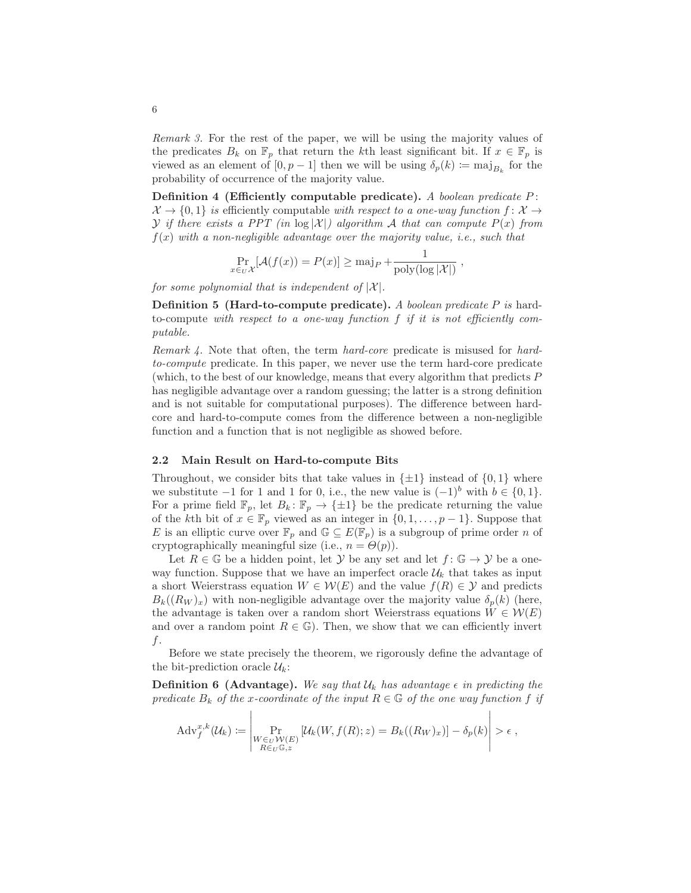Remark 3. For the rest of the paper, we will be using the majority values of the predicates  $B_k$  on  $\mathbb{F}_p$  that return the kth least significant bit. If  $x \in \mathbb{F}_p$  is viewed as an element of  $[0, p-1]$  then we will be using  $\delta_p(k) \coloneqq \text{maj}_{B_k}$  for the probability of occurrence of the majority value.

Definition 4 (Efficiently computable predicate). A boolean predicate  $P$ :  $\mathcal{X} \to \{0,1\}$  is efficiently computable with respect to a one-way function  $f: \mathcal{X} \to$  $\mathcal Y$  if there exists a PPT (in  $\log |\mathcal X|$ ) algorithm A that can compute  $P(x)$  from  $f(x)$  with a non-negligible advantage over the majority value, i.e., such that

$$
\Pr_{x \in U} \mathcal{A}(f(x)) = P(x)] \ge \text{maj}_P + \frac{1}{\text{poly}(\log |\mathcal{X}|)},
$$

for some polynomial that is independent of  $|X|$ .

**Definition 5** (Hard-to-compute predicate). A boolean predicate  $P$  is hardto-compute with respect to a one-way function  $f$  if it is not efficiently computable.

Remark 4. Note that often, the term hard-core predicate is misused for hardto-compute predicate. In this paper, we never use the term hard-core predicate (which, to the best of our knowledge, means that every algorithm that predicts P has negligible advantage over a random guessing; the latter is a strong definition and is not suitable for computational purposes). The difference between hardcore and hard-to-compute comes from the difference between a non-negligible function and a function that is not negligible as showed before.

#### 2.2 Main Result on Hard-to-compute Bits

Throughout, we consider bits that take values in  $\{\pm 1\}$  instead of  $\{0, 1\}$  where we substitute  $-1$  for 1 and 1 for 0, i.e., the new value is  $(-1)^b$  with  $b \in \{0, 1\}$ . For a prime field  $\mathbb{F}_p$ , let  $B_k: \mathbb{F}_p \to {\pm 1}$  be the predicate returning the value of the kth bit of  $x \in \mathbb{F}_p$  viewed as an integer in  $\{0, 1, \ldots, p-1\}$ . Suppose that E is an elliptic curve over  $\mathbb{F}_p$  and  $\mathbb{G} \subseteq E(\mathbb{F}_p)$  is a subgroup of prime order n of cryptographically meaningful size (i.e.,  $n = \Theta(p)$ ).

Let  $R \in \mathbb{G}$  be a hidden point, let Y be any set and let  $f: \mathbb{G} \to \mathcal{Y}$  be a oneway function. Suppose that we have an imperfect oracle  $\mathcal{U}_k$  that takes as input a short Weierstrass equation  $W \in \mathcal{W}(E)$  and the value  $f(R) \in \mathcal{Y}$  and predicts  $B_k((R_W)_x)$  with non-negligible advantage over the majority value  $\delta_n(k)$  (here, the advantage is taken over a random short Weierstrass equations  $W \in \mathcal{W}(E)$ and over a random point  $R \in \mathbb{G}$ . Then, we show that we can efficiently invert f.

Before we state precisely the theorem, we rigorously define the advantage of the bit-prediction oracle  $\mathcal{U}_k$ :

**Definition 6 (Advantage).** We say that  $\mathcal{U}_k$  has advantage  $\epsilon$  in predicting the predicate  $B_k$  of the x-coordinate of the input  $R \in \mathbb{G}$  of the one way function f if

$$
Adv_f^{x,k}(\mathcal{U}_k) := \left| \Pr_{\substack{W \in \mathcal{U} \mathcal{W}(E) \\ R \in \mathcal{U} \mathbb{G}, z}} \left[ \mathcal{U}_k(W, f(R); z) = B_k((R_W)_x) \right] - \delta_p(k) \right| > \epsilon,
$$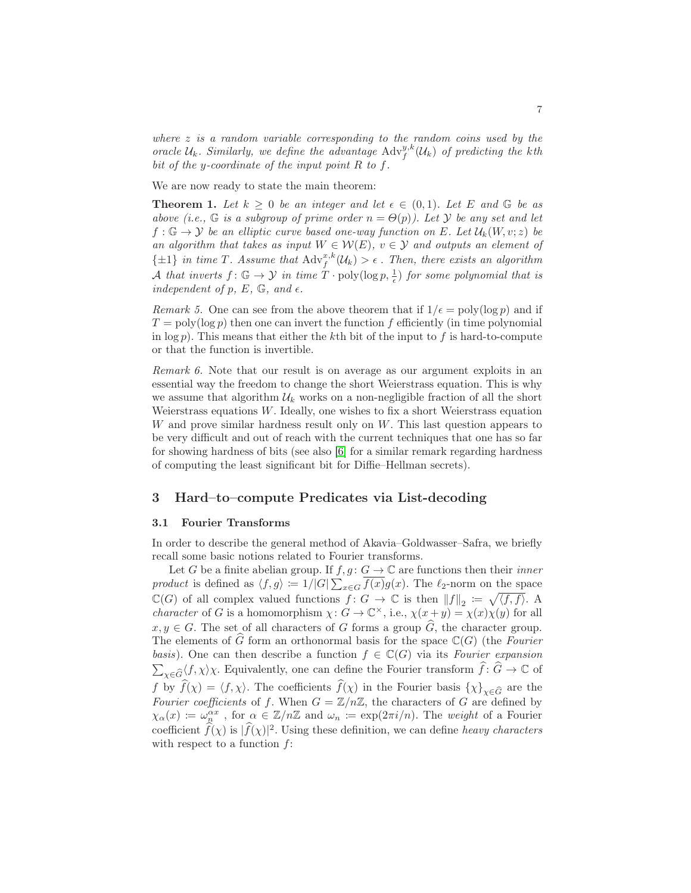where  $z$  is a random variable corresponding to the random coins used by the oracle  $\mathcal{U}_k$ . Similarly, we define the advantage  $\text{Adv}_{f}^{y,k}(\mathcal{U}_k)$  of predicting the kth bit of the y-coordinate of the input point  $R$  to  $f$ .

<span id="page-6-0"></span>We are now ready to state the main theorem:

**Theorem 1.** Let  $k \geq 0$  be an integer and let  $\epsilon \in (0,1)$ . Let E and G be as above (i.e.,  $\mathbb G$  is a subgroup of prime order  $n = \Theta(p)$ ). Let  $\mathcal Y$  be any set and let  $f: \mathbb{G} \to \mathcal{Y}$  be an elliptic curve based one-way function on E. Let  $\mathcal{U}_k(W, v; z)$  be an algorithm that takes as input  $W \in \mathcal{W}(E)$ ,  $v \in \mathcal{Y}$  and outputs an element of  $\{\pm 1\}$  in time T. Assume that  $\text{Adv}_{f}^{x,k}(\mathcal{U}_k) > \epsilon$ . Then, there exists an algorithm A that inverts  $f: \mathbb{G} \to \mathcal{Y}$  in time  $T \cdot \text{poly}(\log p, \frac{1}{\epsilon})$  for some polynomial that is independent of p, E,  $\mathbb{G}$ , and  $\epsilon$ .

Remark 5. One can see from the above theorem that if  $1/\epsilon = \text{poly}(\log p)$  and if  $T = \text{poly}(\log p)$  then one can invert the function f efficiently (in time polynomial in  $\log p$ ). This means that either the kth bit of the input to f is hard-to-compute or that the function is invertible.

Remark 6. Note that our result is on average as our argument exploits in an essential way the freedom to change the short Weierstrass equation. This is why we assume that algorithm  $\mathcal{U}_k$  works on a non-negligible fraction of all the short Weierstrass equations  $W$ . Ideally, one wishes to fix a short Weierstrass equation W and prove similar hardness result only on  $W$ . This last question appears to be very difficult and out of reach with the current techniques that one has so far for showing hardness of bits (see also [\[6\]](#page-16-8) for a similar remark regarding hardness of computing the least significant bit for Diffie–Hellman secrets).

# <span id="page-6-1"></span>3 Hard–to–compute Predicates via List-decoding

#### 3.1 Fourier Transforms

In order to describe the general method of Akavia–Goldwasser–Safra, we briefly recall some basic notions related to Fourier transforms.

Let G be a finite abelian group. If  $f, g: G \to \mathbb{C}$  are functions then their *inner* product is defined as  $\langle f, g \rangle := 1/|G| \sum_{x \in G} \overline{f(x)} g(x)$ . The  $\ell_2$ -norm on the space  $\mathbb{C}(G)$  of all complex valued functions  $f: G \to \mathbb{C}$  is then  $||f||_2 := \sqrt{\langle f, f \rangle}$ . A *character* of G is a homomorphism  $\chi: G \to \mathbb{C}^{\times}$ , i.e.,  $\chi(x+y) = \chi(x)\chi(y)$  for all  $x, y \in G$ . The set of all characters of G forms a group  $\widehat{G}$ , the character group. The elements of  $\widehat{G}$  form an orthonormal basis for the space  $\mathbb{C}(G)$  (the Fourier basis). One can then describe a function  $f \in \mathbb{C}(G)$  via its Fourier expansion  $\sum_{\chi \in \widehat{G}} \langle f, \chi \rangle \chi$ . Equivalently, one can define the Fourier transform  $\widehat{f} : \widehat{G} \to \mathbb{C}$  of f by  $f(x) = \langle f, \chi \rangle$ . The coefficients  $f(\chi)$  in the Fourier basis  $\{\chi\}_{\chi \in \widehat{G}}$  are the Fourier coefficients of f. When  $G = \mathbb{Z}/n\mathbb{Z}$ , the characters of G are defined by  $\chi_{\alpha}(x) := \omega_n^{\alpha x}$ , for  $\alpha \in \mathbb{Z}/n\mathbb{Z}$  and  $\omega_n := \exp(2\pi i/n)$ . The weight of a Fourier coefficient  $\hat{f}(\chi)$  is  $|\hat{f}(\chi)|^2$ . Using these definition, we can define heavy characters with respect to a function  $f$ :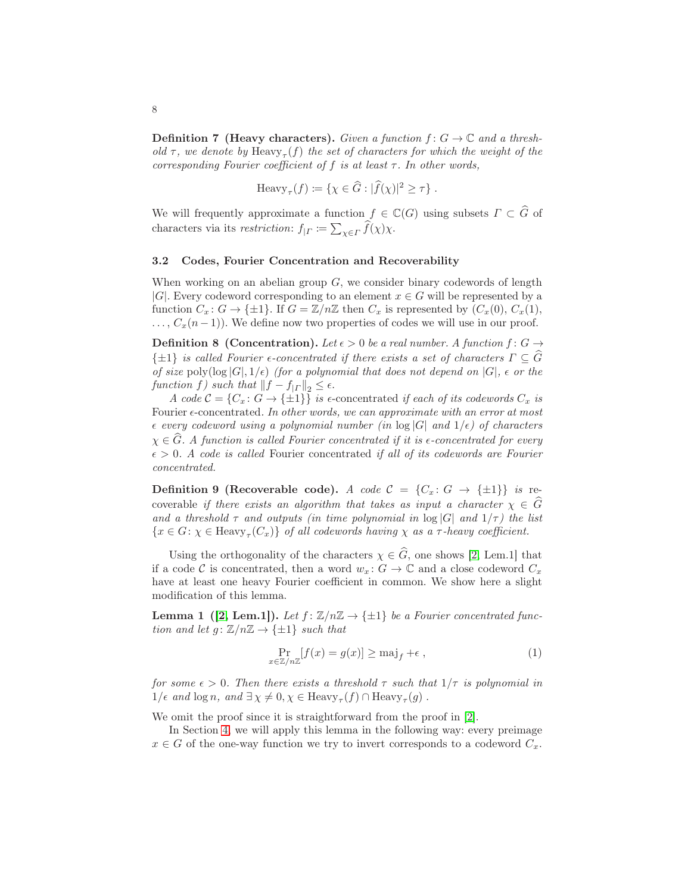**Definition 7 (Heavy characters).** Given a function  $f: G \to \mathbb{C}$  and a threshold  $\tau$ , we denote by  $\text{Heavy}_{\tau}(f)$  the set of characters for which the weight of the corresponding Fourier coefficient of f is at least  $\tau$ . In other words,

$$
\text{Heavy}_{\tau}(f) \coloneqq \{ \chi \in \widehat{G} : |\widehat{f}(\chi)|^2 \geq \tau \} .
$$

We will frequently approximate a function  $f \in \mathbb{C}(G)$  using subsets  $\Gamma \subset \widehat{G}$  of characters via its restriction:  $f_{\vert \Gamma} \coloneqq \sum_{\chi \in \Gamma} \widehat{f}(\chi) \chi.$ 

## 3.2 Codes, Fourier Concentration and Recoverability

When working on an abelian group  $G$ , we consider binary codewords of length |G|. Every codeword corresponding to an element  $x \in G$  will be represented by a function  $C_x: G \to \{\pm 1\}$ . If  $G = \mathbb{Z}/n\mathbb{Z}$  then  $C_x$  is represented by  $(C_x(0), C_x(1),$  $\ldots, C_x(n-1)$ . We define now two properties of codes we will use in our proof.

**Definition 8 (Concentration).** Let  $\epsilon > 0$  be a real number. A function  $f: G \rightarrow$  $\{\pm 1\}$  is called Fourier  $\epsilon$ -concentrated if there exists a set of characters  $\Gamma \subseteq G$ of size poly $(\log |G|, 1/\epsilon)$  (for a polynomial that does not depend on  $|G|$ ,  $\epsilon$  or the function f) such that  $||f - f|_{\Gamma}||_2 \leq \epsilon$ .

A code  $C = \{C_x : G \to \{\pm 1\}\}\$ is  $\epsilon$ -concentrated if each of its codewords  $C_x$  is Fourier  $\epsilon$ -concentrated. In other words, we can approximate with an error at most  $\epsilon$  every codeword using a polynomial number (in  $\log |G|$  and  $1/\epsilon$ ) of characters  $\chi \in \widehat{G}$ . A function is called Fourier concentrated if it is  $\epsilon$ -concentrated for every  $\epsilon > 0$ . A code is called Fourier concentrated if all of its codewords are Fourier concentrated.

**Definition 9 (Recoverable code).** A code  $C = \{C_x : G \rightarrow \{\pm 1\}\}\$ is recoverable if there exists an algorithm that takes as input a character  $\chi \in \widehat{G}$ and a threshold  $\tau$  and outputs (in time polynomial in  $\log|G|$  and  $1/\tau$ ) the list  ${x \in G : \chi \in Heavy_{\tau}(C_x)}$  of all codewords having  $\chi$  as a  $\tau$ -heavy coefficient.

Using the orthogonality of the characters  $\chi \in \widehat{G}$ , one shows [\[2,](#page-16-3) Lem.1] that if a code C is concentrated, then a word  $w_x: G \to \mathbb{C}$  and a close codeword  $C_x$ have at least one heavy Fourier coefficient in common. We show here a slight modification of this lemma.

**Lemma 1** ([\[2,](#page-16-3) Lem.1]). Let  $f: \mathbb{Z}/n\mathbb{Z} \to \{\pm 1\}$  be a Fourier concentrated function and let  $g: \mathbb{Z}/n\mathbb{Z} \to \{\pm 1\}$  such that

<span id="page-7-0"></span>
$$
\Pr_{x \in \mathbb{Z}/n\mathbb{Z}}[f(x) = g(x)] \ge \text{maj}_f + \epsilon \,,\tag{1}
$$

for some  $\epsilon > 0$ . Then there exists a threshold  $\tau$  such that  $1/\tau$  is polynomial in  $1/\epsilon$  and  $\log n$ , and  $\exists \chi \neq 0, \chi \in \text{Heavy}_{\tau}(f) \cap \text{Heavy}_{\tau}(g)$ .

We omit the proof since it is straightforward from the proof in [\[2\]](#page-16-3).

In Section [4,](#page-8-0) we will apply this lemma in the following way: every preimage  $x \in G$  of the one-way function we try to invert corresponds to a codeword  $C_x$ .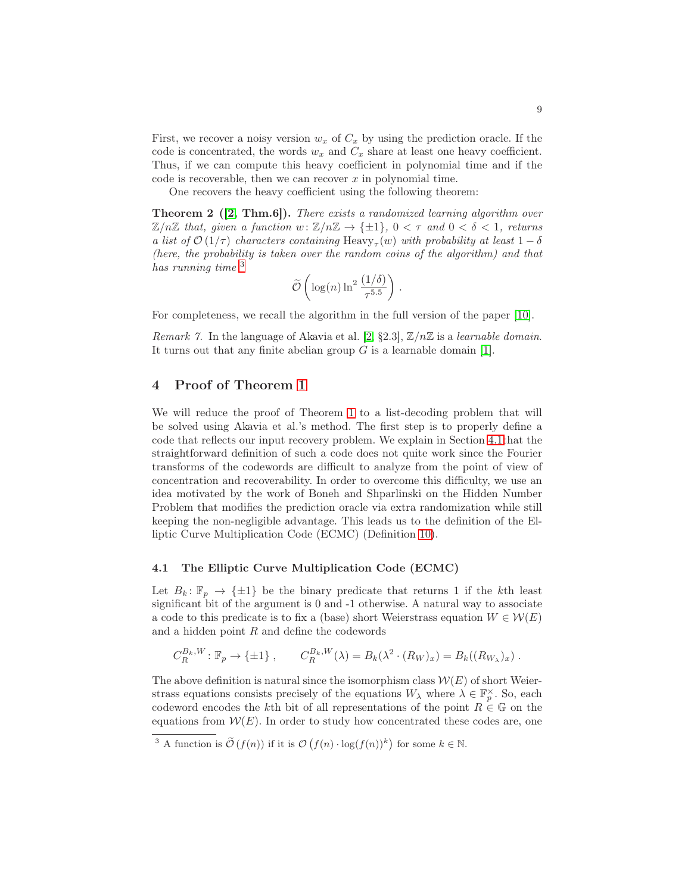First, we recover a noisy version  $w_x$  of  $C_x$  by using the prediction oracle. If the code is concentrated, the words  $w_x$  and  $C_x$  share at least one heavy coefficient. Thus, if we can compute this heavy coefficient in polynomial time and if the code is recoverable, then we can recover  $x$  in polynomial time.

One recovers the heavy coefficient using the following theorem:

**Theorem 2 (2, Thm.6).** There exists a randomized learning algorithm over  $\mathbb{Z}/n\mathbb{Z}$  that, given a function  $w: \mathbb{Z}/n\mathbb{Z} \to {\pm 1}$ ,  $0 < \tau$  and  $0 < \delta < 1$ , returns a list of  $\mathcal{O}(1/\tau)$  characters containing Heavy<sub> $\tau$ </sub>(w) with probability at least  $1-\delta$ (here, the probability is taken over the random coins of the algorithm) and that has running time <sup>[3](#page-8-1)</sup>

<span id="page-8-3"></span>
$$
\widetilde{\mathcal{O}}\left(\log(n)\ln^2\frac{(1/\delta)}{\tau^{5.5}}\right).
$$

For completeness, we recall the algorithm in the full version of the paper [\[10\]](#page-16-18).

Remark 7. In the language of Akavia et al. [\[2,](#page-16-3) §2.3],  $\mathbb{Z}/n\mathbb{Z}$  is a learnable domain. It turns out that any finite abelian group  $G$  is a learnable domain [\[1\]](#page-16-19).

# <span id="page-8-0"></span>4 Proof of Theorem [1](#page-6-0)

We will reduce the proof of Theorem [1](#page-6-0) to a list-decoding problem that will be solved using Akavia et al.'s method. The first step is to properly define a code that reflects our input recovery problem. We explain in Section [4.1t](#page-8-2)hat the straightforward definition of such a code does not quite work since the Fourier transforms of the codewords are difficult to analyze from the point of view of concentration and recoverability. In order to overcome this difficulty, we use an idea motivated by the work of Boneh and Shparlinski on the Hidden Number Problem that modifies the prediction oracle via extra randomization while still keeping the non-negligible advantage. This leads us to the definition of the Elliptic Curve Multiplication Code (ECMC) (Definition [10\)](#page-9-0).

#### <span id="page-8-2"></span>4.1 The Elliptic Curve Multiplication Code (ECMC)

Let  $B_k: \mathbb{F}_p \to {\pm 1}$  be the binary predicate that returns 1 if the kth least significant bit of the argument is 0 and -1 otherwise. A natural way to associate a code to this predicate is to fix a (base) short Weierstrass equation  $W \in \mathcal{W}(E)$ and a hidden point  $R$  and define the codewords

$$
C_R^{B_k,W}: \mathbb{F}_p \to {\{\pm 1\}}, \qquad C_R^{B_k,W}(\lambda) = B_k(\lambda^2 \cdot (R_W)_x) = B_k((R_{W_\lambda})_x).
$$

The above definition is natural since the isomorphism class  $W(E)$  of short Weierstrass equations consists precisely of the equations  $W_{\lambda}$  where  $\lambda \in \mathbb{F}_p^{\times}$ . So, each codeword encodes the k<sup>th</sup> bit of all representations of the point  $R \in \mathbb{G}$  on the equations from  $W(E)$ . In order to study how concentrated these codes are, one

<span id="page-8-1"></span><sup>&</sup>lt;sup>3</sup> A function is  $\widetilde{\mathcal{O}}(f(n))$  if it is  $\mathcal{O}(f(n) \cdot \log(f(n))^k)$  for some  $k \in \mathbb{N}$ .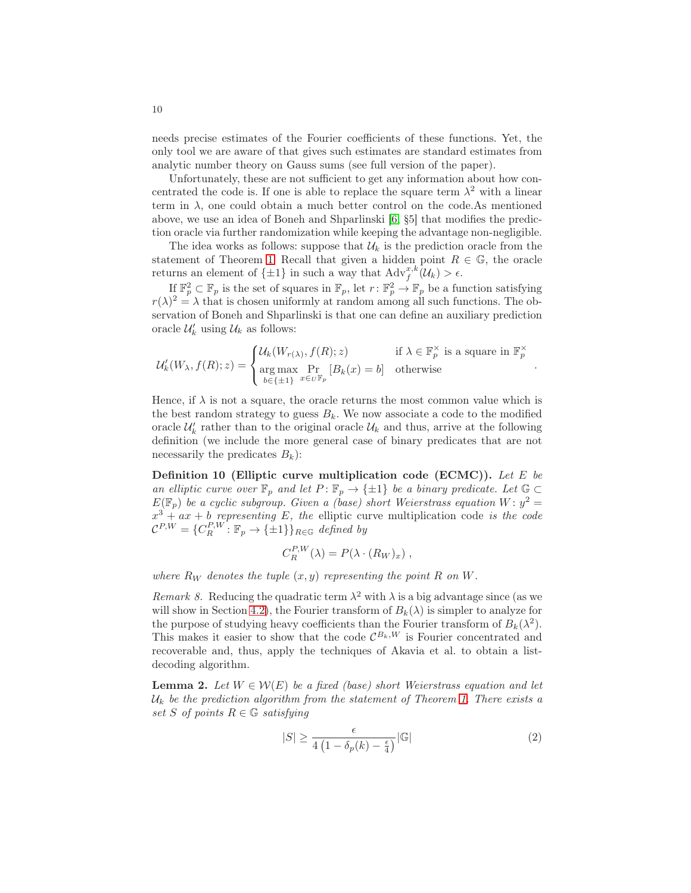needs precise estimates of the Fourier coefficients of these functions. Yet, the only tool we are aware of that gives such estimates are standard estimates from analytic number theory on Gauss sums (see full version of the paper).

Unfortunately, these are not sufficient to get any information about how concentrated the code is. If one is able to replace the square term  $\lambda^2$  with a linear term in  $\lambda$ , one could obtain a much better control on the code.As mentioned above, we use an idea of Boneh and Shparlinski [\[6,](#page-16-8) §5] that modifies the prediction oracle via further randomization while keeping the advantage non-negligible.

The idea works as follows: suppose that  $\mathcal{U}_k$  is the prediction oracle from the statement of Theorem [1.](#page-6-0) Recall that given a hidden point  $R \in \mathbb{G}$ , the oracle returns an element of  $\{\pm 1\}$  in such a way that  $\mathrm{Adv}_{f}^{x,k}(\mathcal{U}_{k}) > \epsilon$ .

If  $\mathbb{F}_p^2 \subset \mathbb{F}_p$  is the set of squares in  $\mathbb{F}_p$ , let  $r: \mathbb{F}_p^2 \to \mathbb{F}_p$  be a function satisfying  $r(\lambda)^2 = \lambda$  that is chosen uniformly at random among all such functions. The observation of Boneh and Shparlinski is that one can define an auxiliary prediction oracle  $\mathcal{U}'_k$  using  $\mathcal{U}_k$  as follows:

$$
\mathcal{U}'_k(W_\lambda, f(R); z) = \begin{cases} \mathcal{U}_k(W_{r(\lambda)}, f(R); z) & \text{if } \lambda \in \mathbb{F}_p^\times \text{ is a square in } \mathbb{F}_p^\times \\ \arg \max_{b \in \{\pm 1\}} \Pr_{x \in \sigma \mathbb{F}_p} \left[ B_k(x) = b \right] & \text{otherwise} \end{cases}.
$$

Hence, if  $\lambda$  is not a square, the oracle returns the most common value which is the best random strategy to guess  $B_k$ . We now associate a code to the modified oracle  $\mathcal{U}'_k$  rather than to the original oracle  $\mathcal{U}_k$  and thus, arrive at the following definition (we include the more general case of binary predicates that are not necessarily the predicates  $B_k$ :

<span id="page-9-0"></span>Definition 10 (Elliptic curve multiplication code (ECMC)). Let E be an elliptic curve over  $\mathbb{F}_p$  and let  $P: \mathbb{F}_p \to \{\pm 1\}$  be a binary predicate. Let  $\mathbb{G} \subset$  $E(\mathbb{F}_p)$  be a cyclic subgroup. Given a (base) short Weierstrass equation  $W: y^2 =$  $x^3 + ax + b$  representing E, the elliptic curve multiplication code is the code  $\mathcal{C}^{P,W} = \{C_R^{P,W} : \mathbb{F}_p \to \{\pm 1\}\}_{R \in \mathbb{G}}$  defined by

$$
C_R^{P,W}(\lambda) = P(\lambda \cdot (R_W)_x) ,
$$

where  $R_W$  denotes the tuple  $(x, y)$  representing the point R on W.

Remark 8. Reducing the quadratic term  $\lambda^2$  with  $\lambda$  is a big advantage since (as we will show in Section [4.2\)](#page-11-0), the Fourier transform of  $B_k(\lambda)$  is simpler to analyze for the purpose of studying heavy coefficients than the Fourier transform of  $B_k(\lambda^2)$ . This makes it easier to show that the code  $\mathcal{C}^{B_k,W}$  is Fourier concentrated and recoverable and, thus, apply the techniques of Akavia et al. to obtain a listdecoding algorithm.

<span id="page-9-2"></span>**Lemma 2.** Let  $W \in \mathcal{W}(E)$  be a fixed (base) short Weierstrass equation and let  $\mathcal{U}_k$  be the prediction algorithm from the statement of Theorem [1.](#page-6-0) There exists a set S of points  $R \in \mathbb{G}$  satisfying

<span id="page-9-1"></span>
$$
|S| \ge \frac{\epsilon}{4\left(1 - \delta_p(k) - \frac{\epsilon}{4}\right)} |\mathbb{G}| \tag{2}
$$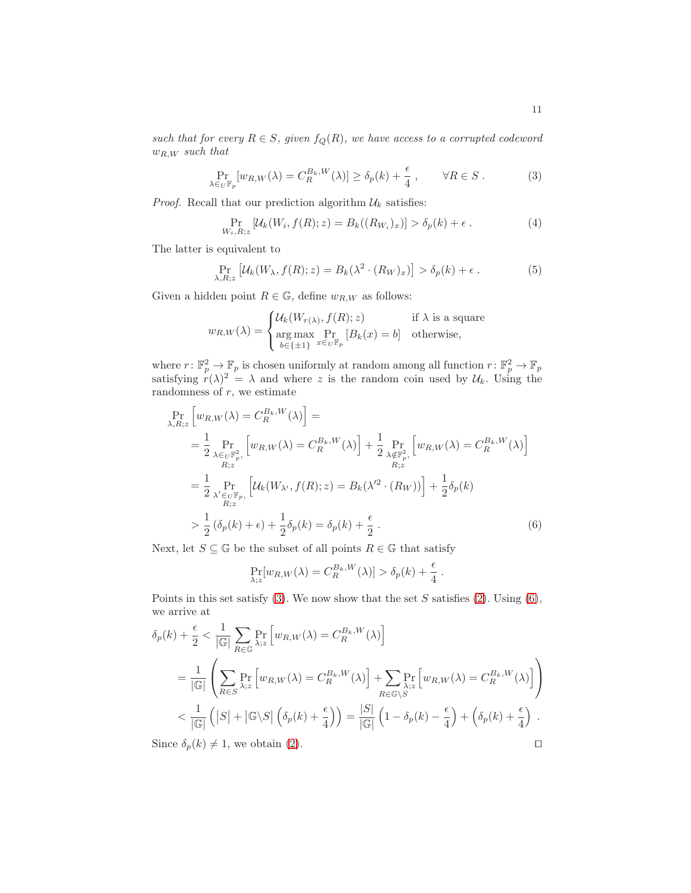such that for every  $R \in S$ , given  $f_Q(R)$ , we have access to a corrupted codeword  $w_{R,W}$  such that

<span id="page-10-0"></span>
$$
\Pr_{\lambda \in \mathcal{U}^{\mathbb{F}_p}}[w_{R,W}(\lambda) = C_R^{B_k, W}(\lambda)] \ge \delta_p(k) + \frac{\epsilon}{4}, \qquad \forall R \in S. \tag{3}
$$

*Proof.* Recall that our prediction algorithm  $\mathcal{U}_k$  satisfies:

$$
\Pr_{W_i, R; z} \left[ \mathcal{U}_k(W_i, f(R); z) = B_k((R_{W_i})_x) \right] > \delta_p(k) + \epsilon.
$$
 (4)

The latter is equivalent to

$$
\Pr_{\lambda, R; z} \left[ \mathcal{U}_k(W_\lambda, f(R); z) = B_k(\lambda^2 \cdot (R_W)_x) \right] > \delta_p(k) + \epsilon \,. \tag{5}
$$

Given a hidden point  $R \in \mathbb{G}$ , define  $w_{R,W}$  as follows:

$$
w_{R,W}(\lambda) = \begin{cases} \mathcal{U}_k(W_{r(\lambda)}, f(R); z) & \text{if } \lambda \text{ is a square} \\ \arg \max_{b \in \{\pm 1\}} \Pr_{x \in \sigma \mathbb{F}_p} \left[ B_k(x) = b \right] & \text{otherwise,} \end{cases}
$$

where  $r: \mathbb{F}_p^2 \to \mathbb{F}_p$  is chosen uniformly at random among all function  $r: \mathbb{F}_p^2 \to \mathbb{F}_p$ satisfying  $r(\lambda)^2 = \lambda$  and where z is the random coin used by  $\mathcal{U}_k$ . Using the randomness of  $r$ , we estimate

$$
\Pr_{\lambda,R;z} \left[ w_{R,W}(\lambda) = C_R^{B_k, W}(\lambda) \right] =
$$
\n
$$
= \frac{1}{2} \Pr_{\lambda \in U_{R,p}^{\mathbb{F}_p}(\lambda) \atop R; z} \left[ w_{R,W}(\lambda) = C_R^{B_k, W}(\lambda) \right] + \frac{1}{2} \Pr_{\lambda \notin \mathbb{F}_p^{\mathbb{F}_p} \atop R; z} \left[ w_{R,W}(\lambda) = C_R^{B_k, W}(\lambda) \right]
$$
\n
$$
= \frac{1}{2} \Pr_{\lambda' \in U_{R,p}^{\mathbb{F}_p} \atop R; z} \left[ \mathcal{U}_k(W_{\lambda'}, f(R); z) = B_k(\lambda'^2 \cdot (R_W)) \right] + \frac{1}{2} \delta_p(k)
$$
\n
$$
> \frac{1}{2} (\delta_p(k) + \epsilon) + \frac{1}{2} \delta_p(k) = \delta_p(k) + \frac{\epsilon}{2} . \tag{6}
$$

Next, let  $S \subseteq \mathbb{G}$  be the subset of all points  $R \in \mathbb{G}$  that satisfy

<span id="page-10-1"></span>
$$
\Pr_{\lambda;z}[w_{R,W}(\lambda) = C_R^{B_k,W}(\lambda)] > \delta_p(k) + \frac{\epsilon}{4}.
$$

Points in this set satisfy  $(3)$ . We now show that the set S satisfies  $(2)$ . Using  $(6)$ , we arrive at

$$
\delta_p(k) + \frac{\epsilon}{2} < \frac{1}{|\mathbb{G}|} \sum_{R \in \mathbb{G}} \Pr_{\lambda; z} \left[ w_{R,W}(\lambda) = C_R^{B_k, W}(\lambda) \right]
$$
\n
$$
= \frac{1}{|\mathbb{G}|} \left( \sum_{R \in S} \Pr_{\lambda; z} \left[ w_{R,W}(\lambda) = C_R^{B_k, W}(\lambda) \right] + \sum_{R \in \mathbb{G} \setminus S} \Pr_{\lambda; z} \left[ w_{R,W}(\lambda) = C_R^{B_k, W}(\lambda) \right] \right)
$$
\n
$$
< \frac{1}{|\mathbb{G}|} \left( |S| + |\mathbb{G} \setminus S| \left( \delta_p(k) + \frac{\epsilon}{4} \right) \right) = \frac{|S|}{|\mathbb{G}|} \left( 1 - \delta_p(k) - \frac{\epsilon}{4} \right) + \left( \delta_p(k) + \frac{\epsilon}{4} \right) .
$$
\nSi (1) (1, 1) (2)

Since  $\delta_p(k) \neq 1$ , we obtain [\(2\)](#page-9-1). □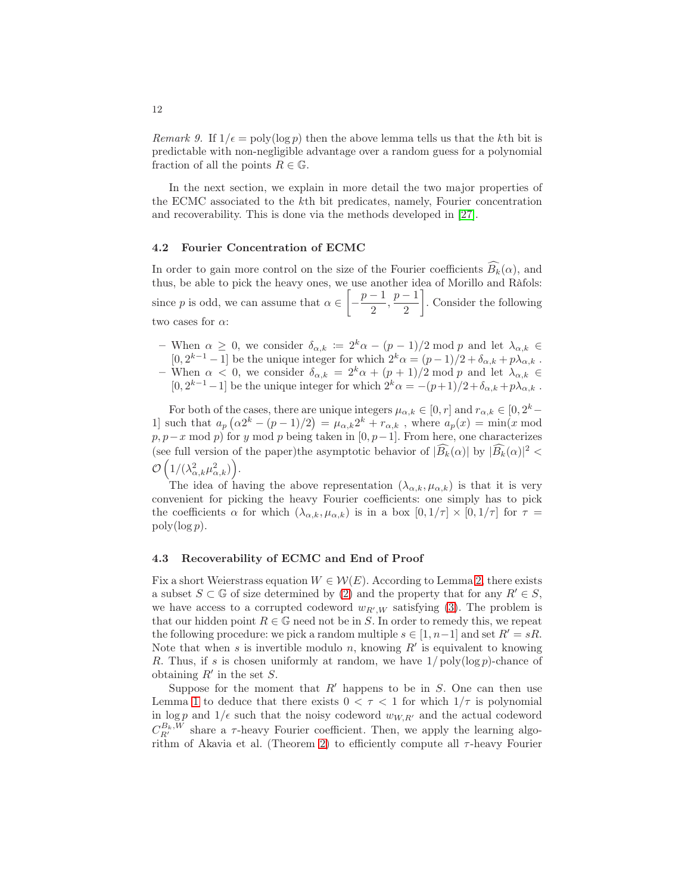*Remark 9.* If  $1/\epsilon = \text{poly}(\log p)$  then the above lemma tells us that the kth bit is predictable with non-negligible advantage over a random guess for a polynomial fraction of all the points  $R \in \mathbb{G}$ .

In the next section, we explain in more detail the two major properties of the ECMC associated to the kth bit predicates, namely, Fourier concentration and recoverability. This is done via the methods developed in [\[27\]](#page-17-6).

## <span id="page-11-0"></span>4.2 Fourier Concentration of ECMC

In order to gain more control on the size of the Fourier coefficients  $\widehat{B}_k(\alpha)$ , and thus, be able to pick the heavy ones, we use another idea of Morillo and Ràfols: since p is odd, we can assume that  $\alpha \in$  $\sqrt{ }$  $-\frac{p-1}{2}$  $\frac{-1}{2}, \frac{p-1}{2}$ 2 1 . Consider the following two cases for  $\alpha$ :

– When  $\alpha \geq 0$ , we consider  $\delta_{\alpha,k} := 2^k \alpha - (p-1)/2 \mod p$  and let  $\lambda_{\alpha,k} \in$  $[0, 2^{k-1} - 1]$  be the unique integer for which  $2^k \alpha = (p-1)/2 + \delta_{\alpha,k} + p\lambda_{\alpha,k}$ . – When  $\alpha$  < 0, we consider  $\delta_{\alpha,k} = 2^k \alpha + (p+1)/2 \mod p$  and let  $\lambda_{\alpha,k} \in$  $[0, 2^{k-1}-1]$  be the unique integer for which  $2^k \alpha = -(p+1)/2 + \delta_{\alpha,k} + p\lambda_{\alpha,k}$ .

For both of the cases, there are unique integers  $\mu_{\alpha,k} \in [0, r]$  and  $r_{\alpha,k} \in [0, 2^k - 1]$ 1] such that  $a_p(a2^k - (p-1)/2) = \mu_{\alpha,k}2^k + r_{\alpha,k}$ , where  $a_p(x) = \min(x \mod 1)$  $p, p-x \mod p$  for y mod p being taken in  $[0, p-1]$ . From here, one characterizes (see full version of the paper)the asymptotic behavior of  $|\widetilde{B}_k(\alpha)|$  by  $|\widetilde{B}_k(\alpha)|^2$  $\mathcal{O}\left(1/(\lambda_{\alpha,k}^2\mu_{\alpha,k}^2)\right)$ .

The idea of having the above representation  $(\lambda_{\alpha,k}, \mu_{\alpha,k})$  is that it is very convenient for picking the heavy Fourier coefficients: one simply has to pick the coefficients  $\alpha$  for which  $(\lambda_{\alpha,k}, \mu_{\alpha,k})$  is in a box  $[0, 1/\tau] \times [0, 1/\tau]$  for  $\tau =$  $\operatorname{poly}(\log p)$ .

## 4.3 Recoverability of ECMC and End of Proof

Fix a short Weierstrass equation  $W \in \mathcal{W}(E)$ . According to Lemma [2,](#page-9-2) there exists a subset  $S \subset \mathbb{G}$  of size determined by [\(2\)](#page-9-1) and the property that for any  $R' \in S$ , we have access to a corrupted codeword  $w_{R',W}$  satisfying [\(3\)](#page-10-0). The problem is that our hidden point  $R \in \mathbb{G}$  need not be in S. In order to remedy this, we repeat the following procedure: we pick a random multiple  $s \in [1, n-1]$  and set  $R' = sR$ . Note that when s is invertible modulo n, knowing  $R'$  is equivalent to knowing R. Thus, if s is chosen uniformly at random, we have  $1/\text{poly}(\log p)$ -chance of obtaining  $R'$  in the set  $S$ .

Suppose for the moment that  $R'$  happens to be in  $S$ . One can then use Lemma [1](#page-7-0) to deduce that there exists  $0 < \tau < 1$  for which  $1/\tau$  is polynomial in  $\log p$  and  $1/\epsilon$  such that the noisy codeword  $w_{W,R'}$  and the actual codeword  $C_{R'}^{B_k,W}$  share a  $\tau$ -heavy Fourier coefficient. Then, we apply the learning algo-rithm of Akavia et al. (Theorem [2\)](#page-8-3) to efficiently compute all  $\tau$ -heavy Fourier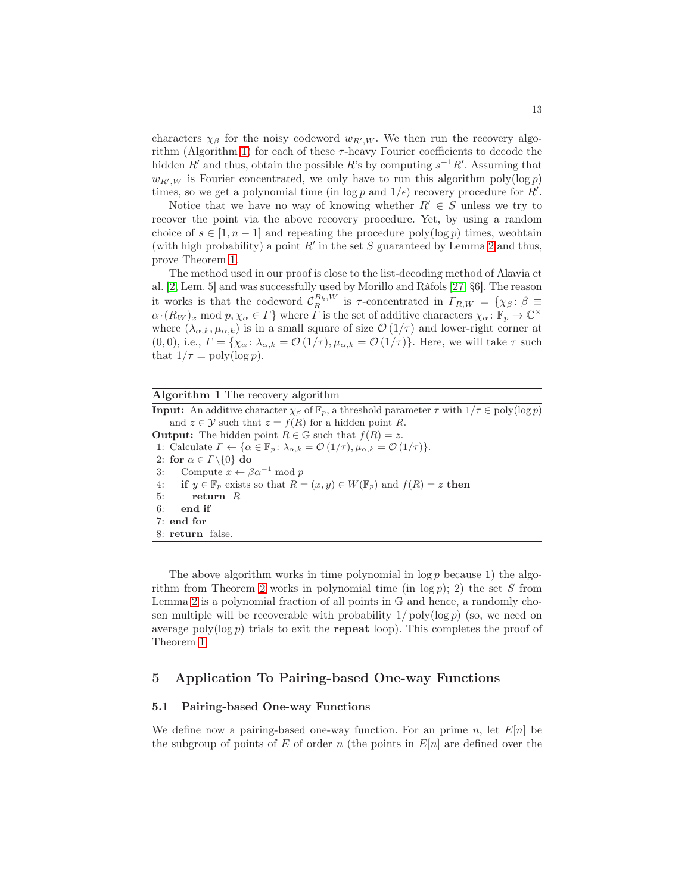characters  $\chi_{\beta}$  for the noisy codeword  $w_{R',W}$ . We then run the recovery algo-rithm (Algorithm [1\)](#page-12-1) for each of these  $\tau$ -heavy Fourier coefficients to decode the hidden  $R'$  and thus, obtain the possible  $R'$ s by computing  $s^{-1}R'$ . Assuming that  $w_{R',W}$  is Fourier concentrated, we only have to run this algorithm  $\text{poly}(\log p)$ times, so we get a polynomial time (in  $\log p$  and  $1/\epsilon$ ) recovery procedure for R'.

Notice that we have no way of knowing whether  $R' \in S$  unless we try to recover the point via the above recovery procedure. Yet, by using a random choice of  $s \in [1, n-1]$  and repeating the procedure poly(log p) times, we obtain (with high probability) a point  $R'$  in the set  $S$  guaranteed by Lemma [2](#page-9-2) and thus, prove Theorem [1.](#page-6-0)

The method used in our proof is close to the list-decoding method of Akavia et al. [\[2,](#page-16-3) Lem. 5] and was successfully used by Morillo and Ràfols [\[27,](#page-17-6) §6]. The reason it works is that the codeword  $\mathcal{C}_R^{B_k,W}$  is  $\tau$ -concentrated in  $\Gamma_{R,W} = \{ \chi_\beta : \beta \equiv$  $\alpha \cdot (R_W)_x \mod p, \chi_\alpha \in \Gamma$  where  $\overline{\Gamma}$  is the set of additive characters  $\chi_\alpha : \overline{\mathbb{F}}_p \to \mathbb{C}^\times$ where  $(\lambda_{\alpha,k}, \mu_{\alpha,k})$  is in a small square of size  $\mathcal{O}(1/\tau)$  and lower-right corner at  $(0, 0)$ , i.e.,  $\Gamma = \{ \chi_{\alpha} : \lambda_{\alpha,k} = \mathcal{O}(1/\tau), \mu_{\alpha,k} = \mathcal{O}(1/\tau) \}.$  Here, we will take  $\tau$  such that  $1/\tau = \text{poly}(\log p)$ .

## Algorithm 1 The recovery algorithm

**Input:** An additive character  $\chi_{\beta}$  of  $\mathbb{F}_p$ , a threshold parameter  $\tau$  with  $1/\tau \in \text{poly}(\log p)$ and  $z \in \mathcal{Y}$  such that  $z = f(R)$  for a hidden point R. **Output:** The hidden point  $R \in \mathbb{G}$  such that  $f(R) = z$ . 1: Calculate  $\Gamma \leftarrow {\alpha \in \mathbb{F}_p \colon \lambda_{\alpha,k} = \mathcal{O}(1/\tau), \mu_{\alpha,k} = \mathcal{O}(1/\tau)}.$ 2: for  $\alpha \in \Gamma \backslash \{0\}$  do 3: Compute  $x \leftarrow \beta \alpha^{-1} \mod p$ 4: if  $y \in \mathbb{F}_p$  exists so that  $R = (x, y) \in W(\mathbb{F}_p)$  and  $f(R) = z$  then 5: return R 6: end if 7: end for 8: return false.

<span id="page-12-1"></span>The above algorithm works in time polynomial in  $\log p$  because 1) the algo-rithm from Theorem [2](#page-8-3) works in polynomial time (in  $log p$ ); 2) the set S from Lemma [2](#page-9-2) is a polynomial fraction of all points in G and hence, a randomly chosen multiple will be recoverable with probability  $1/poly(log p)$  (so, we need on average poly( $log p$ ) trials to exit the **repeat** loop). This completes the proof of Theorem [1.](#page-6-0)

# <span id="page-12-0"></span>5 Application To Pairing-based One-way Functions

## 5.1 Pairing-based One-way Functions

We define now a pairing-based one-way function. For an prime n, let  $E[n]$  be the subgroup of points of E of order n (the points in  $E[n]$  are defined over the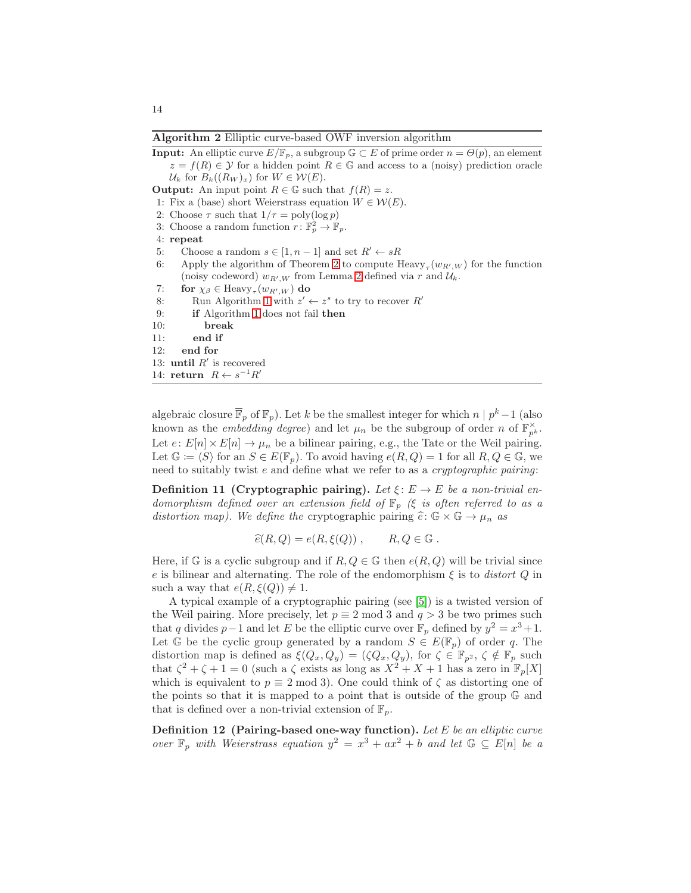Algorithm 2 Elliptic curve-based OWF inversion algorithm

**Input:** An elliptic curve  $E/\mathbb{F}_p$ , a subgroup  $\mathbb{G} \subset E$  of prime order  $n = \Theta(p)$ , an element  $z = f(R) \in \mathcal{Y}$  for a hidden point  $R \in \mathbb{G}$  and access to a (noisy) prediction oracle  $\mathcal{U}_k$  for  $B_k((R_W)_x)$  for  $W \in \mathcal{W}(E)$ . **Output:** An input point  $R \in \mathbb{G}$  such that  $f(R) = z$ . 1: Fix a (base) short Weierstrass equation  $W \in \mathcal{W}(E)$ . 2: Choose  $\tau$  such that  $1/\tau = \text{poly}(\log p)$ 3: Choose a random function  $r: \mathbb{F}_p^2 \to \mathbb{F}_p$ . 4: repeat 5: Choose a random  $s \in [1, n-1]$  and set  $R' \leftarrow sR$ 6: Apply the algorithm of Theorem [2](#page-8-3) to compute  $\text{Heavy}_{\tau}(w_{R',W})$  for the function (noisy codeword)  $w_{R',W}$  from Lemma [2](#page-9-2) defined via r and  $\mathcal{U}_k$ . 7: for  $\chi_{\beta} \in \text{Heavy}_{\tau}(w_{R',W})$  do 8: Run Algorithm [1](#page-12-1) with  $z' \leftarrow z^s$  to try to recover R' 9: if Algorithm [1](#page-12-1) does not fail then 10: break 11: end if 12: end for 13: **until**  $R'$  is recovered 14: return  $R \leftarrow s^{-1}R'$ 

algebraic closure  $\overline{\mathbb{F}}_p$  of  $\mathbb{F}_p$ ). Let k be the smallest integer for which  $n \mid p^k-1$  (also known as the *embedding degree*) and let  $\mu_n$  be the subgroup of order n of  $\mathbb{F}_{p^k}^{\times}$ . Let  $e: E[n] \times E[n] \to \mu_n$  be a bilinear pairing, e.g., the Tate or the Weil pairing. Let  $\mathbb{G} \coloneqq \langle S \rangle$  for an  $S \in E(\mathbb{F}_p)$ . To avoid having  $e(R, Q) = 1$  for all  $R, Q \in \mathbb{G}$ , we need to suitably twist e and define what we refer to as a *cryptographic pairing*:

Definition 11 (Cryptographic pairing). Let  $\xi: E \to E$  be a non-trivial endomorphism defined over an extension field of  $\mathbb{F}_p$  ( $\xi$  is often referred to as a distortion map). We define the cryptographic pairing  $\hat{e}: \mathbb{G} \times \mathbb{G} \to \mu_n$  as

 $\widehat{e}(R, Q) = e(R, \xi(Q))$ ,  $R, Q \in \mathbb{G}$ .

Here, if G is a cyclic subgroup and if  $R, Q \in \mathbb{G}$  then  $e(R, Q)$  will be trivial since e is bilinear and alternating. The role of the endomorphism  $\xi$  is to *distort Q* in such a way that  $e(R, \xi(Q)) \neq 1$ .

A typical example of a cryptographic pairing (see [\[5\]](#page-16-0)) is a twisted version of the Weil pairing. More precisely, let  $p \equiv 2 \mod 3$  and  $q > 3$  be two primes such that q divides  $p-1$  and let E be the elliptic curve over  $\mathbb{F}_p$  defined by  $y^2 = x^3 + 1$ . Let G be the cyclic group generated by a random  $S \in E(\mathbb{F}_p)$  of order q. The distortion map is defined as  $\xi(Q_x, Q_y) = (\zeta Q_x, Q_y)$ , for  $\zeta \in \mathbb{F}_{p^2}$ ,  $\zeta \notin \mathbb{F}_p$  such that  $\zeta^2 + \zeta + 1 = 0$  (such a  $\zeta$  exists as long as  $X^2 + X + 1$  has a zero in  $\mathbb{F}_p[X]$ which is equivalent to  $p \equiv 2 \mod 3$ . One could think of  $\zeta$  as distorting one of the points so that it is mapped to a point that is outside of the group G and that is defined over a non-trivial extension of  $\mathbb{F}_p$ .

**Definition 12** (Pairing-based one-way function). Let  $E$  be an elliptic curve over  $\mathbb{F}_p$  with Weierstrass equation  $y^2 = x^3 + ax^2 + b$  and let  $\mathbb{G} \subseteq E[n]$  be a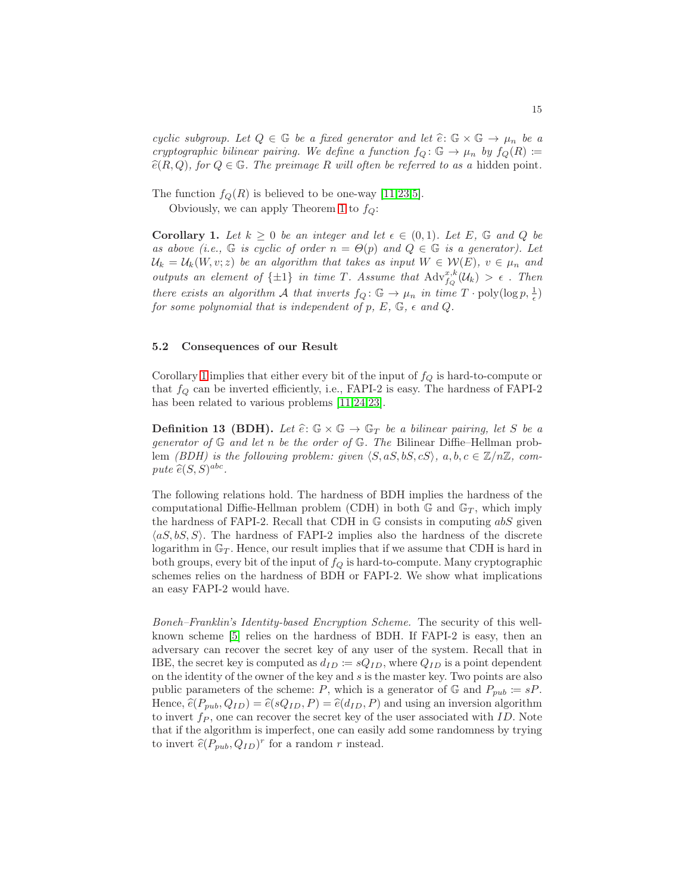cyclic subgroup. Let  $Q \in \mathbb{G}$  be a fixed generator and let  $\hat{e}: \mathbb{G} \times \mathbb{G} \to \mu_n$  be a cryptographic bilinear pairing. We define a function  $f_Q: \mathbb{G} \to \mu_n$  by  $f_Q(R) \coloneqq$  $\widehat{e}(R, Q)$ , for  $Q \in \mathbb{G}$ . The preimage R will often be referred to as a hidden point.

The function  $f_Q(R)$  is believed to be one-way [\[11,](#page-16-2)[23](#page-17-0)[,5\]](#page-16-0).

<span id="page-14-0"></span>Obviously, we can apply Theorem [1](#page-6-0) to  $f_Q$ :

**Corollary 1.** Let  $k > 0$  be an integer and let  $\epsilon \in (0,1)$ . Let E, G and Q be as above (i.e.,  $\mathbb G$  is cyclic of order  $n = \Theta(p)$  and  $Q \in \mathbb G$  is a generator). Let  $\mathcal{U}_k = \mathcal{U}_k(W, v; z)$  be an algorithm that takes as input  $W \in \mathcal{W}(E)$ ,  $v \in \mu_n$  and outputs an element of  $\{\pm 1\}$  in time T. Assume that  $\text{Adv}_{f_Q}^{x,k}(\mathcal{U}_k) > \epsilon$ . Then there exists an algorithm A that inverts  $f_Q: \mathbb{G} \to \mu_n$  in time  $T \cdot \text{poly}(\log p, \frac{1}{\epsilon})$ for some polynomial that is independent of  $p, E, \mathbb{G}$ ,  $\epsilon$  and  $Q$ .

## 5.2 Consequences of our Result

Corollary [1](#page-14-0) implies that either every bit of the input of  $f_Q$  is hard-to-compute or that  $f_Q$  can be inverted efficiently, i.e., FAPI-2 is easy. The hardness of FAPI-2 has been related to various problems [\[11,](#page-16-2)[24](#page-17-16)[,23\]](#page-17-0).

**Definition 13 (BDH).** Let  $\hat{e}: \mathbb{G} \times \mathbb{G} \to \mathbb{G}_T$  be a bilinear pairing, let S be a generator of  $\mathbb G$  and let n be the order of  $\mathbb G$ . The Bilinear Diffie–Hellman problem (BDH) is the following problem: given  $\langle S, aS, bS, cS \rangle$ ,  $a, b, c \in \mathbb{Z}/n\mathbb{Z}$ , compute  $\widehat{e}(S, S)^{abc}$ .

The following relations hold. The hardness of BDH implies the hardness of the computational Diffie-Hellman problem (CDH) in both  $\mathbb{G}$  and  $\mathbb{G}_T$ , which imply the hardness of FAPI-2. Recall that CDH in  $\mathbb G$  consists in computing  $abS$  given  $(aS, bS, S)$ . The hardness of FAPI-2 implies also the hardness of the discrete logarithm in  $\mathbb{G}_T$ . Hence, our result implies that if we assume that CDH is hard in both groups, every bit of the input of  $f_Q$  is hard-to-compute. Many cryptographic schemes relies on the hardness of BDH or FAPI-2. We show what implications an easy FAPI-2 would have.

Boneh–Franklin's Identity-based Encryption Scheme. The security of this wellknown scheme [\[5\]](#page-16-0) relies on the hardness of BDH. If FAPI-2 is easy, then an adversary can recover the secret key of any user of the system. Recall that in IBE, the secret key is computed as  $d_{ID} := sQ_{ID}$ , where  $Q_{ID}$  is a point dependent on the identity of the owner of the key and s is the master key. Two points are also public parameters of the scheme: P, which is a generator of  $\mathbb{G}$  and  $P_{pub} := sP$ . Hence,  $\hat{e}(P_{pub}, Q_{ID}) = \hat{e}(sQ_{ID}, P) = \hat{e}(d_{ID}, P)$  and using an inversion algorithm to invert  $f_P$ , one can recover the secret key of the user associated with ID. Note that if the algorithm is imperfect, one can easily add some randomness by trying to invert  $\widehat{e}(P_{pub}, Q_{ID})^r$  for a random r instead.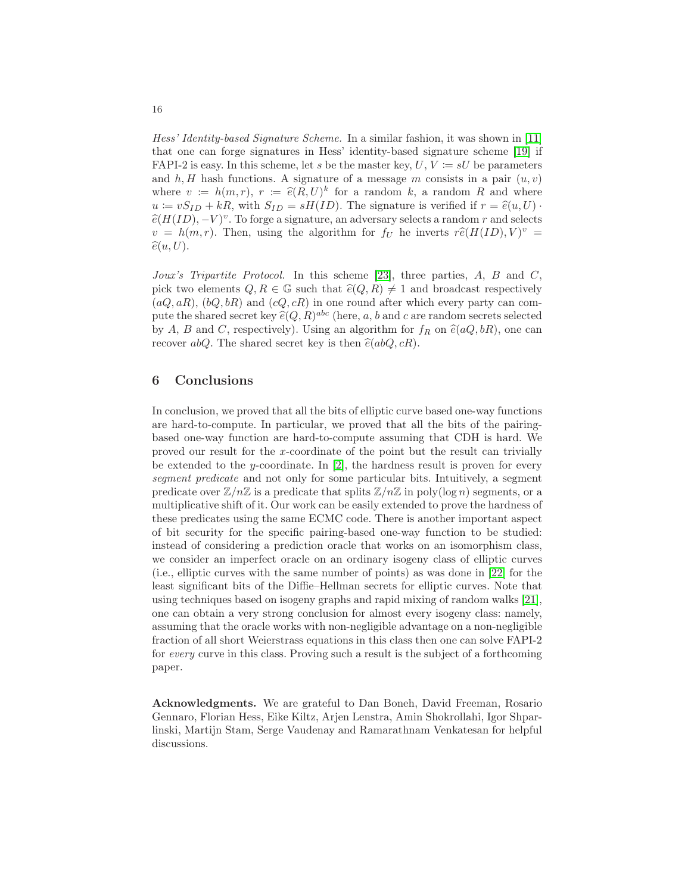Hess' Identity-based Signature Scheme. In a similar fashion, it was shown in [\[11\]](#page-16-2) that one can forge signatures in Hess' identity-based signature scheme [\[19\]](#page-16-1) if FAPI-2 is easy. In this scheme, let s be the master key,  $U, V \coloneqq sU$  be parameters and  $h, H$  hash functions. A signature of a message m consists in a pair  $(u, v)$ where  $v := h(m, r)$ ,  $r := \hat{e}(R, U)^k$  for a random k, a random R and where  $u = vS_{ID} + kR$ , with  $S_{ID} = sH(ID)$ . The signature is verified if  $r = \hat{e}(u, U)$ .  $\hat{e}(H(ID), -V)$ <sup>v</sup>. To forge a signature, an adversary selects a random r and selects  $v = h(m, r)$ . Then, using the algorithm for  $f_U$  he inverts  $r\widehat{e}(H(ID), V)^v = \widehat{e}(m, t)$ .  $\widehat{e}(u, U)$ .

Joux's Tripartite Protocol. In this scheme [\[23\]](#page-17-0), three parties, A, B and C, pick two elements  $Q, R \in \mathbb{G}$  such that  $\widehat{e}(Q, R) \neq 1$  and broadcast respectively  $(aQ, aR), (bQ, bR)$  and  $(cQ, cR)$  in one round after which every party can compute the shared secret key  $\hat{e}(Q, R)^{abc}$  (here, a, b and c are random secrets selected<br>be  $A, B, \text{and } G$  are ratical in Linux or algorithm for  $f, \text{and } \hat{e}(Q, R)$  are range by A, B and C, respectively). Using an algorithm for  $f_R$  on  $\hat{e}(aQ, bR)$ , one can recover abQ. The shared secret key is then  $\hat{e}(abQ, cR)$ .

# 6 Conclusions

In conclusion, we proved that all the bits of elliptic curve based one-way functions are hard-to-compute. In particular, we proved that all the bits of the pairingbased one-way function are hard-to-compute assuming that CDH is hard. We proved our result for the x-coordinate of the point but the result can trivially be extended to the y-coordinate. In  $[2]$ , the hardness result is proven for every segment predicate and not only for some particular bits. Intuitively, a segment predicate over  $\mathbb{Z}/n\mathbb{Z}$  is a predicate that splits  $\mathbb{Z}/n\mathbb{Z}$  in poly(log n) segments, or a multiplicative shift of it. Our work can be easily extended to prove the hardness of these predicates using the same ECMC code. There is another important aspect of bit security for the specific pairing-based one-way function to be studied: instead of considering a prediction oracle that works on an isomorphism class, we consider an imperfect oracle on an ordinary isogeny class of elliptic curves (i.e., elliptic curves with the same number of points) as was done in [\[22\]](#page-17-4) for the least significant bits of the Diffie–Hellman secrets for elliptic curves. Note that using techniques based on isogeny graphs and rapid mixing of random walks [\[21\]](#page-16-20), one can obtain a very strong conclusion for almost every isogeny class: namely, assuming that the oracle works with non-negligible advantage on a non-negligible fraction of all short Weierstrass equations in this class then one can solve FAPI-2 for every curve in this class. Proving such a result is the subject of a forthcoming paper.

Acknowledgments. We are grateful to Dan Boneh, David Freeman, Rosario Gennaro, Florian Hess, Eike Kiltz, Arjen Lenstra, Amin Shokrollahi, Igor Shparlinski, Martijn Stam, Serge Vaudenay and Ramarathnam Venkatesan for helpful discussions.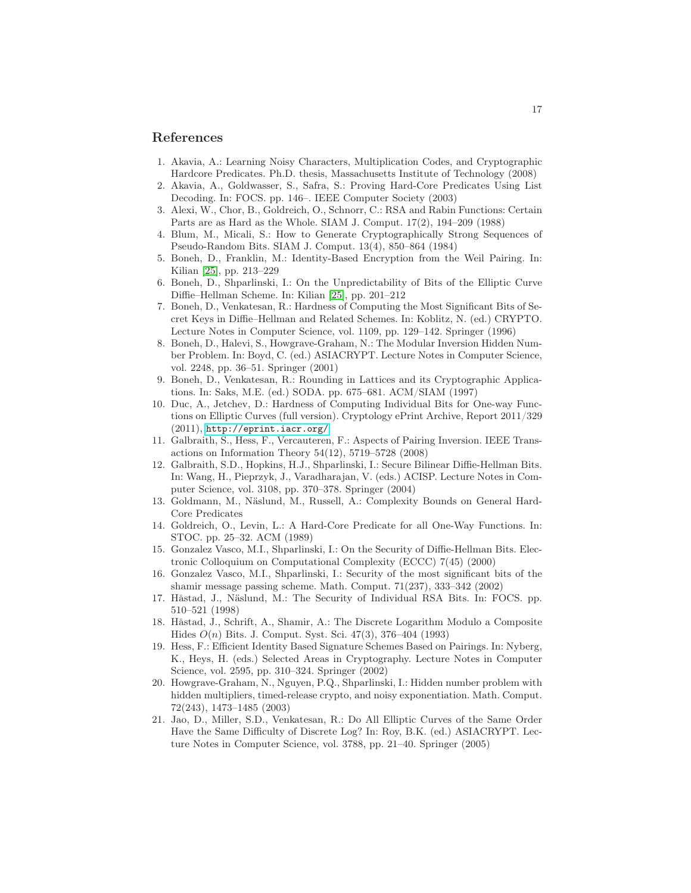# <span id="page-16-19"></span>References

- 1. Akavia, A.: Learning Noisy Characters, Multiplication Codes, and Cryptographic Hardcore Predicates. Ph.D. thesis, Massachusetts Institute of Technology (2008)
- <span id="page-16-6"></span><span id="page-16-3"></span>2. Akavia, A., Goldwasser, S., Safra, S.: Proving Hard-Core Predicates Using List Decoding. In: FOCS. pp. 146–. IEEE Computer Society (2003)
- 3. Alexi, W., Chor, B., Goldreich, O., Schnorr, C.: RSA and Rabin Functions: Certain Parts are as Hard as the Whole. SIAM J. Comput. 17(2), 194–209 (1988)
- <span id="page-16-4"></span>4. Blum, M., Micali, S.: How to Generate Cryptographically Strong Sequences of Pseudo-Random Bits. SIAM J. Comput. 13(4), 850–864 (1984)
- <span id="page-16-0"></span>5. Boneh, D., Franklin, M.: Identity-Based Encryption from the Weil Pairing. In: Kilian [\[25\]](#page-17-17), pp. 213–229
- <span id="page-16-8"></span>6. Boneh, D., Shparlinski, I.: On the Unpredictability of Bits of the Elliptic Curve Diffie–Hellman Scheme. In: Kilian [\[25\]](#page-17-17), pp. 201–212
- <span id="page-16-14"></span>7. Boneh, D., Venkatesan, R.: Hardness of Computing the Most Significant Bits of Secret Keys in Diffie–Hellman and Related Schemes. In: Koblitz, N. (ed.) CRYPTO. Lecture Notes in Computer Science, vol. 1109, pp. 129–142. Springer (1996)
- <span id="page-16-15"></span>8. Boneh, D., Halevi, S., Howgrave-Graham, N.: The Modular Inversion Hidden Number Problem. In: Boyd, C. (ed.) ASIACRYPT. Lecture Notes in Computer Science, vol. 2248, pp. 36–51. Springer (2001)
- <span id="page-16-16"></span>9. Boneh, D., Venkatesan, R.: Rounding in Lattices and its Cryptographic Applications. In: Saks, M.E. (ed.) SODA. pp. 675–681. ACM/SIAM (1997)
- <span id="page-16-18"></span>10. Duc, A., Jetchev, D.: Hardness of Computing Individual Bits for One-way Functions on Elliptic Curves (full version). Cryptology ePrint Archive, Report 2011/329 (2011), <http://eprint.iacr.org/>
- <span id="page-16-2"></span>11. Galbraith, S., Hess, F., Vercauteren, F.: Aspects of Pairing Inversion. IEEE Transactions on Information Theory 54(12), 5719–5728 (2008)
- <span id="page-16-11"></span>12. Galbraith, S.D., Hopkins, H.J., Shparlinski, I.: Secure Bilinear Diffie-Hellman Bits. In: Wang, H., Pieprzyk, J., Varadharajan, V. (eds.) ACISP. Lecture Notes in Computer Science, vol. 3108, pp. 370–378. Springer (2004)
- <span id="page-16-10"></span><span id="page-16-9"></span>13. Goldmann, M., Näslund, M., Russell, A.: Complexity Bounds on General Hard-Core Predicates
- 14. Goldreich, O., Levin, L.: A Hard-Core Predicate for all One-Way Functions. In: STOC. pp. 25–32. ACM (1989)
- <span id="page-16-12"></span>15. Gonzalez Vasco, M.I., Shparlinski, I.: On the Security of Diffie-Hellman Bits. Electronic Colloquium on Computational Complexity (ECCC) 7(45) (2000)
- <span id="page-16-13"></span>16. Gonzalez Vasco, M.I., Shparlinski, I.: Security of the most significant bits of the shamir message passing scheme. Math. Comput. 71(237), 333–342 (2002)
- <span id="page-16-5"></span>17. Håstad, J., Näslund, M.: The Security of Individual RSA Bits. In: FOCS. pp. 510–521 (1998)
- <span id="page-16-7"></span>18. Håstad, J., Schrift, A., Shamir, A.: The Discrete Logarithm Modulo a Composite Hides O(n) Bits. J. Comput. Syst. Sci. 47(3), 376–404 (1993)
- <span id="page-16-1"></span>19. Hess, F.: Efficient Identity Based Signature Schemes Based on Pairings. In: Nyberg, K., Heys, H. (eds.) Selected Areas in Cryptography. Lecture Notes in Computer Science, vol. 2595, pp. 310–324. Springer (2002)
- <span id="page-16-17"></span>20. Howgrave-Graham, N., Nguyen, P.Q., Shparlinski, I.: Hidden number problem with hidden multipliers, timed-release crypto, and noisy exponentiation. Math. Comput. 72(243), 1473–1485 (2003)
- <span id="page-16-20"></span>21. Jao, D., Miller, S.D., Venkatesan, R.: Do All Elliptic Curves of the Same Order Have the Same Difficulty of Discrete Log? In: Roy, B.K. (ed.) ASIACRYPT. Lecture Notes in Computer Science, vol. 3788, pp. 21–40. Springer (2005)